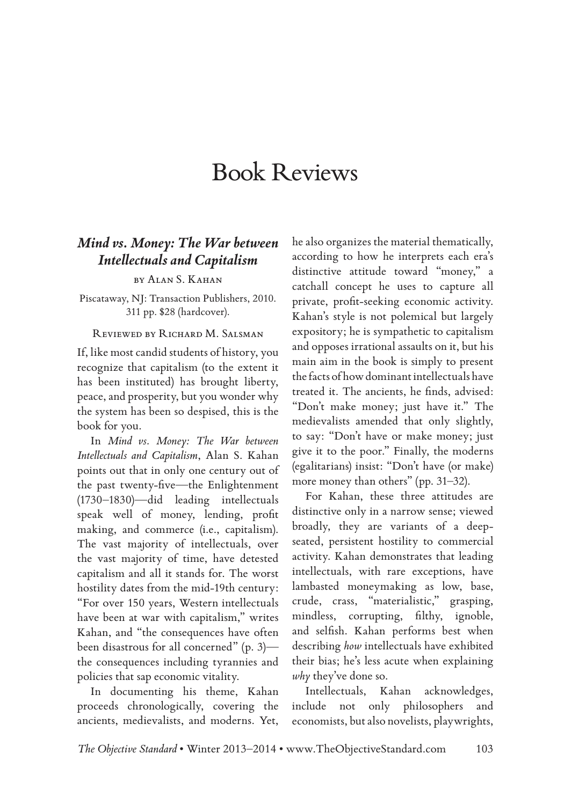# Book Reviews

### *Mind vs. Money: The War between Intellectuals and Capitalism*

by Alan S. Kahan

Piscataway, NJ: Transaction Publishers, 2010. 311 pp. \$28 (hardcover).

#### Reviewed by Richard M. Salsman

If, like most candid students of history, you recognize that capitalism (to the extent it has been instituted) has brought liberty, peace, and prosperity, but you wonder why the system has been so despised, this is the book for you.

In *Mind vs. Money: The War between Intellectuals and Capitalism*, Alan S. Kahan points out that in only one century out of the past twenty-five—the Enlightenment (1730–1830)—did leading intellectuals speak well of money, lending, profit making, and commerce (i.e., capitalism). The vast majority of intellectuals, over the vast majority of time, have detested capitalism and all it stands for. The worst hostility dates from the mid-19th century: "For over 150 years, Western intellectuals have been at war with capitalism," writes Kahan, and "the consequences have often been disastrous for all concerned" (p. 3) the consequences including tyrannies and policies that sap economic vitality.

In documenting his theme, Kahan proceeds chronologically, covering the ancients, medievalists, and moderns. Yet,

he also organizes the material thematically, according to how he interprets each era's distinctive attitude toward "money," a catchall concept he uses to capture all private, profit-seeking economic activity. Kahan's style is not polemical but largely expository; he is sympathetic to capitalism and opposes irrational assaults on it, but his main aim in the book is simply to present the facts of how dominant intellectuals have treated it. The ancients, he finds, advised: "Don't make money; just have it." The medievalists amended that only slightly, to say: "Don't have or make money; just give it to the poor." Finally, the moderns (egalitarians) insist: "Don't have (or make) more money than others" (pp. 31–32).

For Kahan, these three attitudes are distinctive only in a narrow sense; viewed broadly, they are variants of a deepseated, persistent hostility to commercial activity. Kahan demonstrates that leading intellectuals, with rare exceptions, have lambasted moneymaking as low, base, crude, crass, "materialistic," grasping, mindless, corrupting, filthy, ignoble, and selfish. Kahan performs best when describing *how* intellectuals have exhibited their bias; he's less acute when explaining *why* they've done so.

Intellectuals, Kahan acknowledges, include not only philosophers and economists, but also novelists, playwrights,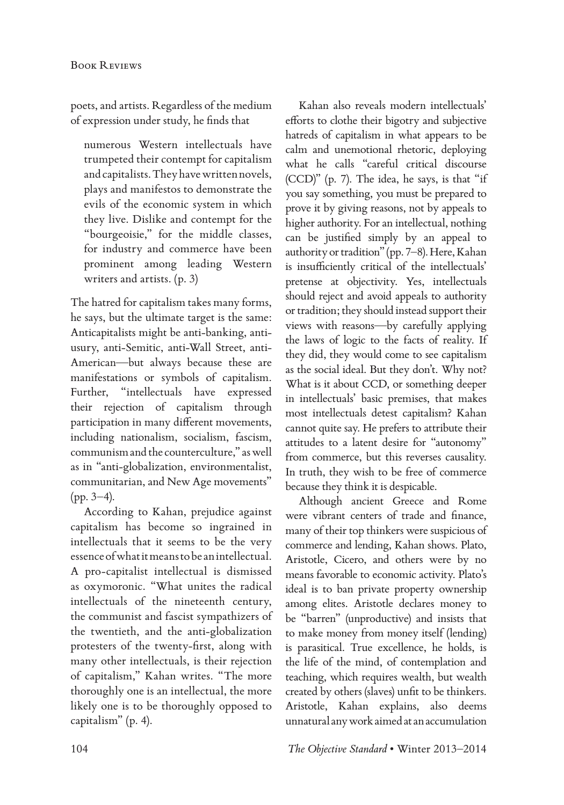poets, and artists. Regardless of the medium of expression under study, he finds that

numerous Western intellectuals have trumpeted their contempt for capitalism and capitalists. They have written novels, plays and manifestos to demonstrate the evils of the economic system in which they live. Dislike and contempt for the "bourgeoisie," for the middle classes, for industry and commerce have been prominent among leading Western writers and artists. (p. 3)

The hatred for capitalism takes many forms, he says, but the ultimate target is the same: Anticapitalists might be anti-banking, antiusury, anti-Semitic, anti-Wall Street, anti-American—but always because these are manifestations or symbols of capitalism. Further, "intellectuals have expressed their rejection of capitalism through participation in many different movements, including nationalism, socialism, fascism, communism and the counterculture," as well as in "anti-globalization, environmentalist, communitarian, and New Age movements" (pp. 3–4).

According to Kahan, prejudice against capitalism has become so ingrained in intellectuals that it seems to be the very essence of what it means to be an intellectual. A pro-capitalist intellectual is dismissed as oxymoronic. "What unites the radical intellectuals of the nineteenth century, the communist and fascist sympathizers of the twentieth, and the anti-globalization protesters of the twenty-first, along with many other intellectuals, is their rejection of capitalism," Kahan writes. "The more thoroughly one is an intellectual, the more likely one is to be thoroughly opposed to capitalism" (p. 4).

Kahan also reveals modern intellectuals' efforts to clothe their bigotry and subjective hatreds of capitalism in what appears to be calm and unemotional rhetoric, deploying what he calls "careful critical discourse (CCD)" (p. 7). The idea, he says, is that "if you say something, you must be prepared to prove it by giving reasons, not by appeals to higher authority. For an intellectual, nothing can be justified simply by an appeal to authority or tradition" (pp. 7–8). Here, Kahan is insufficiently critical of the intellectuals' pretense at objectivity. Yes, intellectuals should reject and avoid appeals to authority or tradition; they should instead support their views with reasons—by carefully applying the laws of logic to the facts of reality. If they did, they would come to see capitalism as the social ideal. But they don't. Why not? What is it about CCD, or something deeper in intellectuals' basic premises, that makes most intellectuals detest capitalism? Kahan cannot quite say. He prefers to attribute their attitudes to a latent desire for "autonomy" from commerce, but this reverses causality. In truth, they wish to be free of commerce because they think it is despicable.

Although ancient Greece and Rome were vibrant centers of trade and finance, many of their top thinkers were suspicious of commerce and lending, Kahan shows. Plato, Aristotle, Cicero, and others were by no means favorable to economic activity. Plato's ideal is to ban private property ownership among elites. Aristotle declares money to be "barren" (unproductive) and insists that to make money from money itself (lending) is parasitical. True excellence, he holds, is the life of the mind, of contemplation and teaching, which requires wealth, but wealth created by others (slaves) unfit to be thinkers. Aristotle, Kahan explains, also deems unnatural any work aimed at an accumulation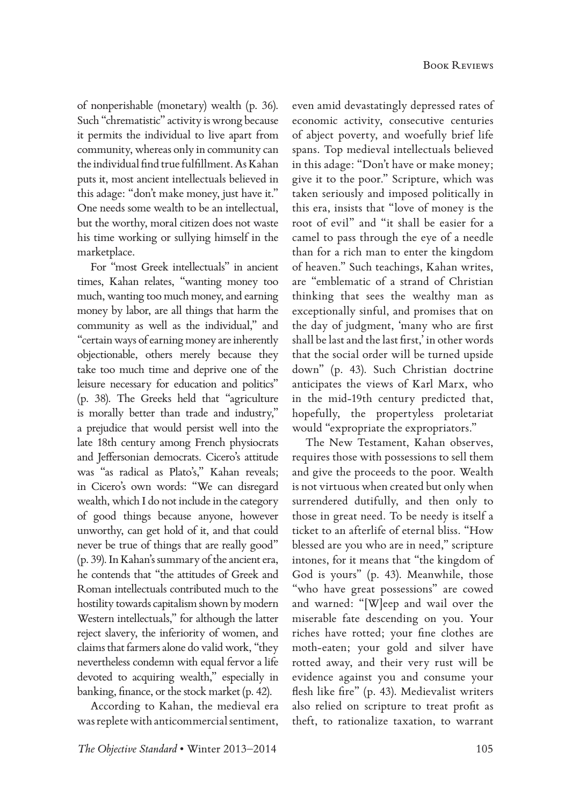of nonperishable (monetary) wealth (p. 36). Such "chrematistic" activity is wrong because it permits the individual to live apart from community, whereas only in community can the individual find true fulfillment. As Kahan puts it, most ancient intellectuals believed in this adage: "don't make money, just have it." One needs some wealth to be an intellectual, but the worthy, moral citizen does not waste his time working or sullying himself in the marketplace.

For "most Greek intellectuals" in ancient times, Kahan relates, "wanting money too much, wanting too much money, and earning money by labor, are all things that harm the community as well as the individual," and "certain ways of earning money are inherently objectionable, others merely because they take too much time and deprive one of the leisure necessary for education and politics" (p. 38). The Greeks held that "agriculture is morally better than trade and industry," a prejudice that would persist well into the late 18th century among French physiocrats and Jeffersonian democrats. Cicero's attitude was "as radical as Plato's," Kahan reveals; in Cicero's own words: "We can disregard wealth, which I do not include in the category of good things because anyone, however unworthy, can get hold of it, and that could never be true of things that are really good" (p. 39). In Kahan's summary of the ancient era, he contends that "the attitudes of Greek and Roman intellectuals contributed much to the hostility towards capitalism shown by modern Western intellectuals," for although the latter reject slavery, the inferiority of women, and claims that farmers alone do valid work, "they nevertheless condemn with equal fervor a life devoted to acquiring wealth," especially in banking, finance, or the stock market (p. 42).

According to Kahan, the medieval era was replete with anticommercial sentiment,

even amid devastatingly depressed rates of economic activity, consecutive centuries of abject poverty, and woefully brief life spans. Top medieval intellectuals believed in this adage: "Don't have or make money; give it to the poor." Scripture, which was taken seriously and imposed politically in this era, insists that "love of money is the root of evil" and "it shall be easier for a camel to pass through the eye of a needle than for a rich man to enter the kingdom of heaven." Such teachings, Kahan writes, are "emblematic of a strand of Christian thinking that sees the wealthy man as exceptionally sinful, and promises that on the day of judgment, 'many who are first shall be last and the last first,' in other words that the social order will be turned upside down" (p. 43). Such Christian doctrine anticipates the views of Karl Marx, who in the mid-19th century predicted that, hopefully, the propertyless proletariat would "expropriate the expropriators."

The New Testament, Kahan observes, requires those with possessions to sell them and give the proceeds to the poor. Wealth is not virtuous when created but only when surrendered dutifully, and then only to those in great need. To be needy is itself a ticket to an afterlife of eternal bliss. "How blessed are you who are in need," scripture intones, for it means that "the kingdom of God is yours" (p. 43). Meanwhile, those "who have great possessions" are cowed and warned: "[W]eep and wail over the miserable fate descending on you. Your riches have rotted; your fine clothes are moth-eaten; your gold and silver have rotted away, and their very rust will be evidence against you and consume your flesh like fire" (p. 43). Medievalist writers also relied on scripture to treat profit as theft, to rationalize taxation, to warrant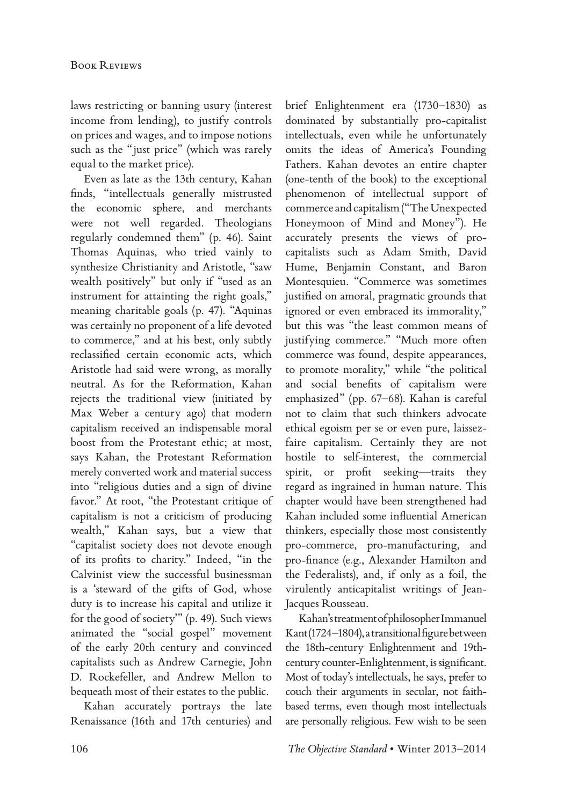laws restricting or banning usury (interest income from lending), to justify controls on prices and wages, and to impose notions such as the "just price" (which was rarely equal to the market price).

Even as late as the 13th century, Kahan finds, "intellectuals generally mistrusted the economic sphere, and merchants were not well regarded. Theologians regularly condemned them" (p. 46). Saint Thomas Aquinas, who tried vainly to synthesize Christianity and Aristotle, "saw wealth positively" but only if "used as an instrument for attainting the right goals," meaning charitable goals (p. 47). "Aquinas was certainly no proponent of a life devoted to commerce," and at his best, only subtly reclassified certain economic acts, which Aristotle had said were wrong, as morally neutral. As for the Reformation, Kahan rejects the traditional view (initiated by Max Weber a century ago) that modern capitalism received an indispensable moral boost from the Protestant ethic; at most, says Kahan, the Protestant Reformation merely converted work and material success into "religious duties and a sign of divine favor." At root, "the Protestant critique of capitalism is not a criticism of producing wealth," Kahan says, but a view that "capitalist society does not devote enough of its profits to charity." Indeed, "in the Calvinist view the successful businessman is a 'steward of the gifts of God, whose duty is to increase his capital and utilize it for the good of society'" (p. 49). Such views animated the "social gospel" movement of the early 20th century and convinced capitalists such as Andrew Carnegie, John D. Rockefeller, and Andrew Mellon to bequeath most of their estates to the public.

Kahan accurately portrays the late Renaissance (16th and 17th centuries) and

brief Enlightenment era (1730–1830) as dominated by substantially pro-capitalist intellectuals, even while he unfortunately omits the ideas of America's Founding Fathers. Kahan devotes an entire chapter (one-tenth of the book) to the exceptional phenomenon of intellectual support of commerce and capitalism ("The Unexpected Honeymoon of Mind and Money"). He accurately presents the views of procapitalists such as Adam Smith, David Hume, Benjamin Constant, and Baron Montesquieu. "Commerce was sometimes justified on amoral, pragmatic grounds that ignored or even embraced its immorality," but this was "the least common means of justifying commerce." "Much more often commerce was found, despite appearances, to promote morality," while "the political and social benefits of capitalism were emphasized" (pp. 67–68). Kahan is careful not to claim that such thinkers advocate ethical egoism per se or even pure, laissezfaire capitalism. Certainly they are not hostile to self-interest, the commercial spirit, or profit seeking—traits they regard as ingrained in human nature. This chapter would have been strengthened had Kahan included some influential American thinkers, especially those most consistently pro-commerce, pro-manufacturing, and pro-finance (e.g., Alexander Hamilton and the Federalists), and, if only as a foil, the virulently anticapitalist writings of Jean-Jacques Rousseau.

Kahan's treatment of philosopher Immanuel Kant (1724–1804), a transitional figure between the 18th-century Enlightenment and 19thcentury counter-Enlightenment, is significant. Most of today's intellectuals, he says, prefer to couch their arguments in secular, not faithbased terms, even though most intellectuals are personally religious. Few wish to be seen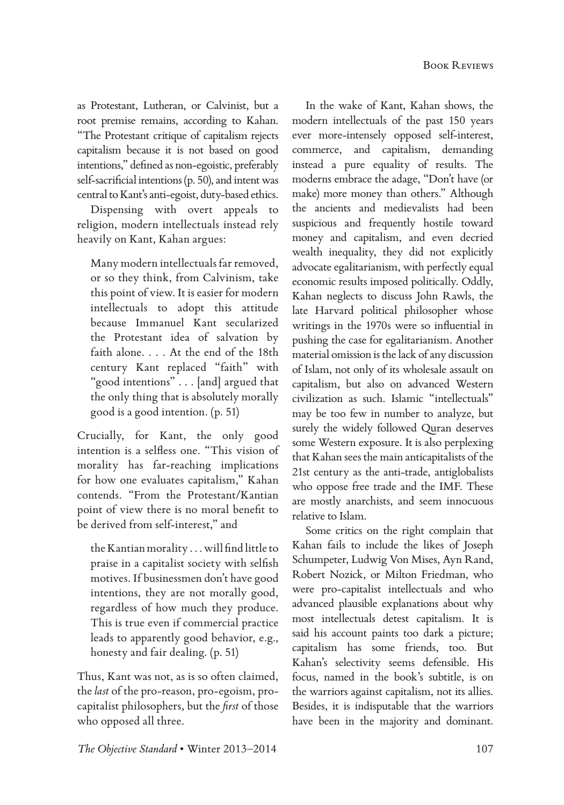as Protestant, Lutheran, or Calvinist, but a root premise remains, according to Kahan. "The Protestant critique of capitalism rejects capitalism because it is not based on good intentions," defined as non-egoistic, preferably self-sacrificial intentions (p. 50), and intent was central to Kant's anti-egoist, duty-based ethics.

Dispensing with overt appeals to religion, modern intellectuals instead rely heavily on Kant, Kahan argues:

Many modern intellectuals far removed, or so they think, from Calvinism, take this point of view. It is easier for modern intellectuals to adopt this attitude because Immanuel Kant secularized the Protestant idea of salvation by faith alone. . . . At the end of the 18th century Kant replaced "faith" with "good intentions" . . . [and] argued that the only thing that is absolutely morally good is a good intention. (p. 51)

Crucially, for Kant, the only good intention is a selfless one. "This vision of morality has far-reaching implications for how one evaluates capitalism," Kahan contends. "From the Protestant/Kantian point of view there is no moral benefit to be derived from self-interest," and

the Kantian morality . . . will find little to praise in a capitalist society with selfish motives. If businessmen don't have good intentions, they are not morally good, regardless of how much they produce. This is true even if commercial practice leads to apparently good behavior, e.g., honesty and fair dealing. (p. 51)

Thus, Kant was not, as is so often claimed, the *last* of the pro-reason, pro-egoism, procapitalist philosophers, but the *first* of those who opposed all three.

In the wake of Kant, Kahan shows, the modern intellectuals of the past 150 years ever more-intensely opposed self-interest, commerce, and capitalism, demanding instead a pure equality of results. The moderns embrace the adage, "Don't have (or make) more money than others." Although the ancients and medievalists had been suspicious and frequently hostile toward money and capitalism, and even decried wealth inequality, they did not explicitly advocate egalitarianism, with perfectly equal economic results imposed politically. Oddly, Kahan neglects to discuss John Rawls, the late Harvard political philosopher whose writings in the 1970s were so influential in pushing the case for egalitarianism. Another material omission is the lack of any discussion of Islam, not only of its wholesale assault on capitalism, but also on advanced Western civilization as such. Islamic "intellectuals" may be too few in number to analyze, but surely the widely followed Quran deserves some Western exposure. It is also perplexing that Kahan sees the main anticapitalists of the 21st century as the anti-trade, antiglobalists who oppose free trade and the IMF. These are mostly anarchists, and seem innocuous relative to Islam.

Some critics on the right complain that Kahan fails to include the likes of Joseph Schumpeter, Ludwig Von Mises, Ayn Rand, Robert Nozick, or Milton Friedman, who were pro-capitalist intellectuals and who advanced plausible explanations about why most intellectuals detest capitalism. It is said his account paints too dark a picture; capitalism has some friends, too. But Kahan's selectivity seems defensible. His focus, named in the book's subtitle, is on the warriors against capitalism, not its allies. Besides, it is indisputable that the warriors have been in the majority and dominant.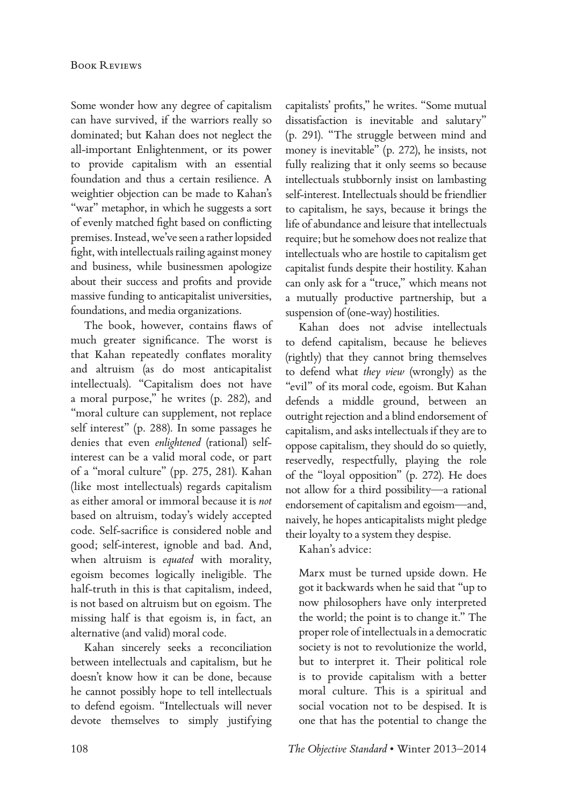Some wonder how any degree of capitalism can have survived, if the warriors really so dominated; but Kahan does not neglect the all-important Enlightenment, or its power to provide capitalism with an essential foundation and thus a certain resilience. A weightier objection can be made to Kahan's "war" metaphor, in which he suggests a sort of evenly matched fight based on conflicting premises. Instead, we've seen a rather lopsided fight, with intellectuals railing against money and business, while businessmen apologize about their success and profits and provide massive funding to anticapitalist universities, foundations, and media organizations.

The book, however, contains flaws of much greater significance. The worst is that Kahan repeatedly conflates morality and altruism (as do most anticapitalist intellectuals). "Capitalism does not have a moral purpose," he writes (p. 282), and "moral culture can supplement, not replace self interest" (p. 288). In some passages he denies that even *enlightened* (rational) selfinterest can be a valid moral code, or part of a "moral culture" (pp. 275, 281). Kahan (like most intellectuals) regards capitalism as either amoral or immoral because it is *not* based on altruism, today's widely accepted code. Self-sacrifice is considered noble and good; self-interest, ignoble and bad. And, when altruism is *equated* with morality, egoism becomes logically ineligible. The half-truth in this is that capitalism, indeed, is not based on altruism but on egoism. The missing half is that egoism is, in fact, an alternative (and valid) moral code.

Kahan sincerely seeks a reconciliation between intellectuals and capitalism, but he doesn't know how it can be done, because he cannot possibly hope to tell intellectuals to defend egoism. "Intellectuals will never devote themselves to simply justifying

capitalists' profits," he writes. "Some mutual dissatisfaction is inevitable and salutary" (p. 291). "The struggle between mind and money is inevitable" (p. 272), he insists, not fully realizing that it only seems so because intellectuals stubbornly insist on lambasting self-interest. Intellectuals should be friendlier to capitalism, he says, because it brings the life of abundance and leisure that intellectuals require; but he somehow does not realize that intellectuals who are hostile to capitalism get capitalist funds despite their hostility. Kahan can only ask for a "truce," which means not a mutually productive partnership, but a suspension of (one-way) hostilities.

Kahan does not advise intellectuals to defend capitalism, because he believes (rightly) that they cannot bring themselves to defend what *they view* (wrongly) as the "evil" of its moral code, egoism. But Kahan defends a middle ground, between an outright rejection and a blind endorsement of capitalism, and asks intellectuals if they are to oppose capitalism, they should do so quietly, reservedly, respectfully, playing the role of the "loyal opposition" (p. 272). He does not allow for a third possibility—a rational endorsement of capitalism and egoism—and, naively, he hopes anticapitalists might pledge their loyalty to a system they despise.

Kahan's advice:

Marx must be turned upside down. He got it backwards when he said that "up to now philosophers have only interpreted the world; the point is to change it." The proper role of intellectuals in a democratic society is not to revolutionize the world, but to interpret it. Their political role is to provide capitalism with a better moral culture. This is a spiritual and social vocation not to be despised. It is one that has the potential to change the